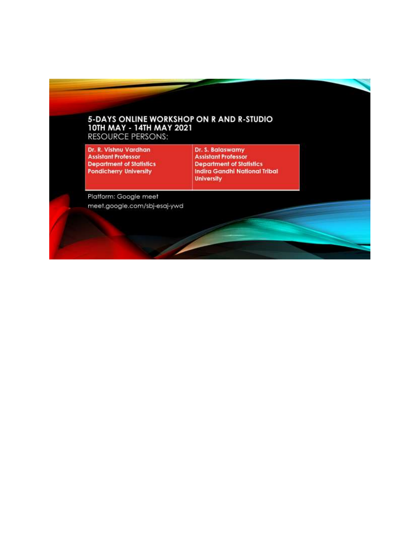## 5-DAYS ONLINE WORKSHOP ON R AND R-STUDIO<br>10TH MAY - 14TH MAY 2021<br>RESOURCE PERSONS:

Dr. R. Vishnu Vardhan **Assistant Professor Department of Statistics Pondicherry University** 

Dr. S. Balaswamy **Assistant Professor Department of Statistics Indira Gandhi National Tribal University** 

Platform: Google meet meet.google.com/sbj-esaj-ywd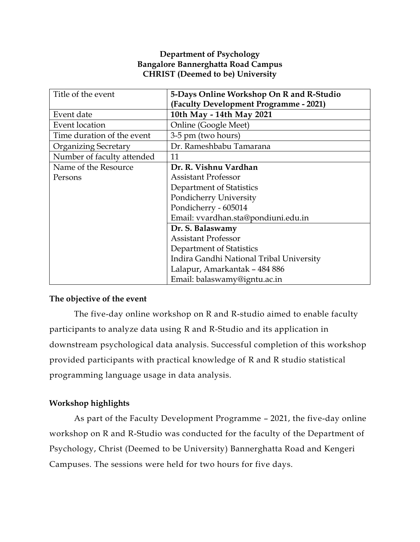## **Department of Psychology Bangalore Bannerghatta Road Campus CHRIST (Deemed to be) University**

| Title of the event          | 5-Days Online Workshop On R and R-Studio |
|-----------------------------|------------------------------------------|
|                             | (Faculty Development Programme - 2021)   |
| Event date                  | 10th May - 14th May 2021                 |
| <b>Event</b> location       | <b>Online (Google Meet)</b>              |
| Time duration of the event  | 3-5 pm (two hours)                       |
| <b>Organizing Secretary</b> | Dr. Rameshbabu Tamarana                  |
| Number of faculty attended  | 11                                       |
| Name of the Resource        | Dr. R. Vishnu Vardhan                    |
| Persons                     | <b>Assistant Professor</b>               |
|                             | Department of Statistics                 |
|                             | Pondicherry University                   |
|                             | Pondicherry - 605014                     |
|                             | Email: vvardhan.sta@pondiuni.edu.in      |
|                             | Dr. S. Balaswamy                         |
|                             | <b>Assistant Professor</b>               |
|                             | Department of Statistics                 |
|                             | Indira Gandhi National Tribal University |
|                             | Lalapur, Amarkantak - 484 886            |
|                             | Email: balaswamy@igntu.ac.in             |

## **The objective of the event**

The five-day online workshop on R and R-studio aimed to enable faculty participants to analyze data using R and R-Studio and its application in downstream psychological data analysis. Successful completion of this workshop provided participants with practical knowledge of R and R studio statistical programming language usage in data analysis.

## **Workshop highlights**

As part of the Faculty Development Programme – 2021, the five-day online workshop on R and R-Studio was conducted for the faculty of the Department of Psychology, Christ (Deemed to be University) Bannerghatta Road and Kengeri Campuses. The sessions were held for two hours for five days.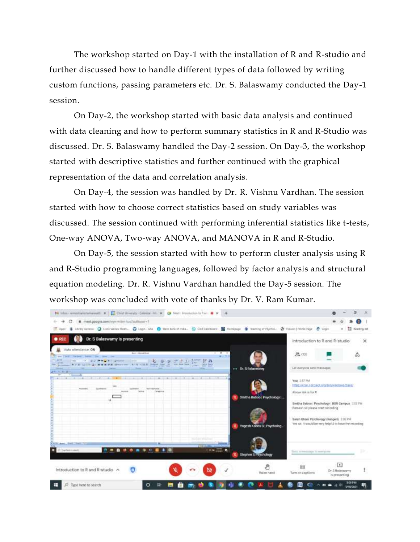The workshop started on Day-1 with the installation of R and R-studio and further discussed how to handle different types of data followed by writing custom functions, passing parameters etc. Dr. S. Balaswamy conducted the Day-1 session.

On Day-2, the workshop started with basic data analysis and continued with data cleaning and how to perform summary statistics in R and R-Studio was discussed. Dr. S. Balaswamy handled the Day-2 session. On Day-3, the workshop started with descriptive statistics and further continued with the graphical representation of the data and correlation analysis.

On Day-4, the session was handled by Dr. R. Vishnu Vardhan. The session started with how to choose correct statistics based on study variables was discussed. The session continued with performing inferential statistics like t-tests, One-way ANOVA, Two-way ANOVA, and MANOVA in R and R-Studio.

On Day-5, the session started with how to perform cluster analysis using R and R-Studio programming languages, followed by factor analysis and structural equation modeling. Dr. R. Vishnu Vardhan handled the Day-5 session. The workshop was concluded with vote of thanks by Dr. V. Ram Kumar.

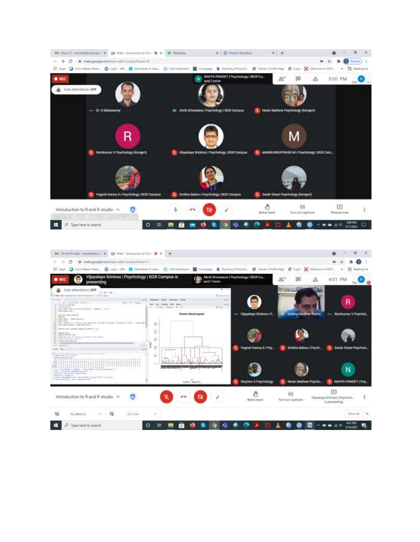